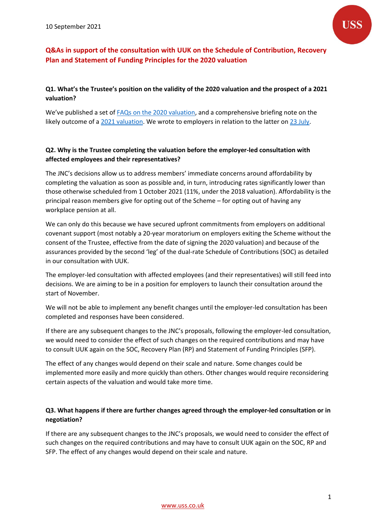

# **Q&As in support of the consultation with UUK on the Schedule of Contribution, Recovery Plan and Statement of Funding Principles for the 2020 valuation**

### **Q1. What's the Trustee's position on the validity of the 2020 valuation and the prospect of a 2021 valuation?**

We've published a set o[f FAQs on the 2020 valuation,](https://www.uss.co.uk/help-and-support/frequently-asked-questions/valuation-faqs) and a comprehensive briefing note on the likely outcome of a [2021 valuation.](https://www.uss.co.uk/-/media/project/ussmainsite/files/about-us/valuations_yearly/2020-valuation/uss-briefing-the-likely-outcome-of-a-2021-valuation-23072021.pdf?rev=52deef54c93c49ed813bf8201259d953&hash=96E1C26A7DFDFE9BD76BF4139B1C342F) We wrote to employers in relation to the latter on [23 July.](https://www.uss.co.uk/-/media/project/ussmainsite/files/about-us/valuations_yearly/2020-valuation/hoi-note-23-july-2021.pdf?rev=0438e5f9903b49538191e30d78c721ba&hash=C0ED0CB11C44E35377CF7F25890301A2)

### **Q2. Why is the Trustee completing the valuation before the employer-led consultation with affected employees and their representatives?**

The JNC's decisions allow us to address members' immediate concerns around affordability by completing the valuation as soon as possible and, in turn, introducing rates significantly lower than those otherwise scheduled from 1 October 2021 (11%, under the 2018 valuation). Affordability is the principal reason members give for opting out of the Scheme – for opting out of having any workplace pension at all.

We can only do this because we have secured upfront commitments from employers on additional covenant support (most notably a 20-year moratorium on employers exiting the Scheme without the consent of the Trustee, effective from the date of signing the 2020 valuation) and because of the assurances provided by the second 'leg' of the dual-rate Schedule of Contributions (SOC) as detailed in our consultation with UUK.

The employer-led consultation with affected employees (and their representatives) will still feed into decisions. We are aiming to be in a position for employers to launch their consultation around the start of November.

We will not be able to implement any benefit changes until the employer-led consultation has been completed and responses have been considered.

If there are any subsequent changes to the JNC's proposals, following the employer-led consultation, we would need to consider the effect of such changes on the required contributions and may have to consult UUK again on the SOC, Recovery Plan (RP) and Statement of Funding Principles (SFP).

The effect of any changes would depend on their scale and nature. Some changes could be implemented more easily and more quickly than others. Other changes would require reconsidering certain aspects of the valuation and would take more time.

### **Q3. What happens if there are further changes agreed through the employer-led consultation or in negotiation?**

If there are any subsequent changes to the JNC's proposals, we would need to consider the effect of such changes on the required contributions and may have to consult UUK again on the SOC, RP and SFP. The effect of any changes would depend on their scale and nature.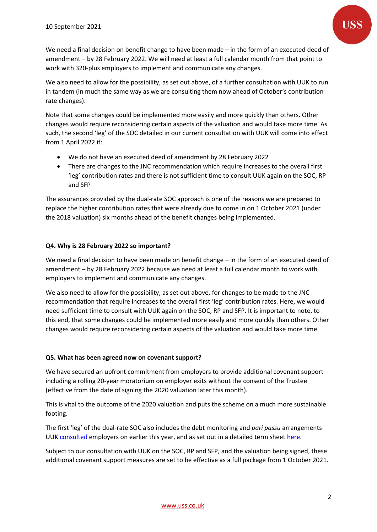We need a final decision on benefit change to have been made – in the form of an executed deed of amendment – by 28 February 2022. We will need at least a full calendar month from that point to work with 320-plus employers to implement and communicate any changes.

We also need to allow for the possibility, as set out above, of a further consultation with UUK to run in tandem (in much the same way as we are consulting them now ahead of October's contribution rate changes).

Note that some changes could be implemented more easily and more quickly than others. Other changes would require reconsidering certain aspects of the valuation and would take more time. As such, the second 'leg' of the SOC detailed in our current consultation with UUK will come into effect from 1 April 2022 if:

- We do not have an executed deed of amendment by 28 February 2022
- There are changes to the JNC recommendation which require increases to the overall first 'leg' contribution rates and there is not sufficient time to consult UUK again on the SOC, RP and SFP

The assurances provided by the dual-rate SOC approach is one of the reasons we are prepared to replace the higher contribution rates that were already due to come in on 1 October 2021 (under the 2018 valuation) six months ahead of the benefit changes being implemented.

### **Q4. Why is 28 February 2022 so important?**

We need a final decision to have been made on benefit change – in the form of an executed deed of amendment – by 28 February 2022 because we need at least a full calendar month to work with employers to implement and communicate any changes.

We also need to allow for the possibility, as set out above, for changes to be made to the JNC recommendation that require increases to the overall first 'leg' contribution rates. Here, we would need sufficient time to consult with UUK again on the SOC, RP and SFP. It is important to note, to this end, that some changes could be implemented more easily and more quickly than others. Other changes would require reconsidering certain aspects of the valuation and would take more time.

#### **Q5. What has been agreed now on covenant support?**

We have secured an upfront commitment from employers to provide additional covenant support including a rolling 20-year moratorium on employer exits without the consent of the Trustee (effective from the date of signing the 2020 valuation later this month).

This is vital to the outcome of the 2020 valuation and puts the scheme on a much more sustainable footing.

The first 'leg' of the dual-rate SOC also includes the debt monitoring and *pari passu* arrangements UUK [consulted](https://www.ussemployers.org.uk/sites/default/files/field/attachemnt/USS%20Document%20C2%20Debt%20Monitoring%20Framework%20March2021.pdf) employers on earlier this year, and as set out in a detailed term sheet [here.](https://www.uss.co.uk/-/media/project/ussmainsite/files/about-us/valuations_yearly/2020-valuation/covenant-support-term-sheet-160621.pdf?rev=88ab480787be4287b386d967985c0d50&hash=7871D1D7E55D0E8AFE6B634F16734B71)

Subject to our consultation with UUK on the SOC, RP and SFP, and the valuation being signed, these additional covenant support measures are set to be effective as a full package from 1 October 2021.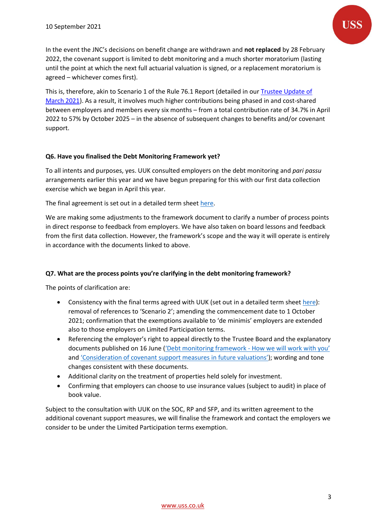In the event the JNC's decisions on benefit change are withdrawn and **not replaced** by 28 February 2022, the covenant support is limited to debt monitoring and a much shorter moratorium (lasting until the point at which the next full actuarial valuation is signed, or a replacement moratorium is agreed – whichever comes first).

This is, therefore, akin to Scenario 1 of the Rule 76.1 Report (detailed in our [Trustee Update of](https://www.uss.co.uk/-/media/project/ussmainsite/files/about-us/valuations_yearly/2020-valuation/uss-trustee-update-and-appendices.pdf?rev=1cc9648005c7498da90aedb8ce32a3b6&hash=AD1494ECA4BF65B351F06DC4BFC131EA)  [March 2021\)](https://www.uss.co.uk/-/media/project/ussmainsite/files/about-us/valuations_yearly/2020-valuation/uss-trustee-update-and-appendices.pdf?rev=1cc9648005c7498da90aedb8ce32a3b6&hash=AD1494ECA4BF65B351F06DC4BFC131EA). As a result, it involves much higher contributions being phased in and cost-shared between employers and members every six months – from a total contribution rate of 34.7% in April 2022 to 57% by October 2025 – in the absence of subsequent changes to benefits and/or covenant support.

#### **Q6. Have you finalised the Debt Monitoring Framework yet?**

To all intents and purposes, yes. UUK consulted employers on the debt monitoring and *pari passu* arrangements earlier this year and we have begun preparing for this with our first data collection exercise which we began in April this year.

The final agreement is set out in a detailed term shee[t here.](https://www.uss.co.uk/-/media/project/ussmainsite/files/about-us/valuations_yearly/2020-valuation/covenant-support-term-sheet-160621.pdf?rev=88ab480787be4287b386d967985c0d50&hash=7871D1D7E55D0E8AFE6B634F16734B71)

We are making some adjustments to the framework document to clarify a number of process points in direct response to feedback from employers. We have also taken on board lessons and feedback from the first data collection. However, the framework's scope and the way it will operate is entirely in accordance with the documents linked to above.

#### **Q7. What are the process points you're clarifying in the debt monitoring framework?**

The points of clarification are:

- Consistency with the final terms agreed with UUK (set out in a detailed term sheet [here\)](https://www.uss.co.uk/-/media/project/ussmainsite/files/about-us/valuations_yearly/2020-valuation/covenant-support-term-sheet-160621.pdf?rev=88ab480787be4287b386d967985c0d50&hash=7871D1D7E55D0E8AFE6B634F16734B71): removal of references to 'Scenario 2'; amending the commencement date to 1 October 2021; confirmation that the exemptions available to 'de minimis' employers are extended also to those employers on Limited Participation terms.
- Referencing the employer's right to appeal directly to the Trustee Board and the explanatory documents published on 16 June (['Debt monitoring framework](https://www.uss.co.uk/-/media/project/ussmainsite/files/about-us/valuations_yearly/2020-valuation/debt-monitoring-how-we-will-work-with-you-160621.pdf?rev=52d1fa2f8aa04205ba8b5d8c637d50a0&hash=0455BE62B075570086727257BB9380B1) - How we will work with you' and ['Consideration of covenant support measures in future valuations'](https://www.uss.co.uk/-/media/project/ussmainsite/files/about-us/valuations_yearly/2020-valuation/consideration-of-covenant-support-measures-in-future-valuations-16621.pdf?rev=ce2bc2c20b94422895934bbffa008c62&hash=2E59A3AF031F675B6E5FE4A5A92143CD)); wording and tone changes consistent with these documents.
- Additional clarity on the treatment of properties held solely for investment.
- Confirming that employers can choose to use insurance values (subject to audit) in place of book value.

Subject to the consultation with UUK on the SOC, RP and SFP, and its written agreement to the additional covenant support measures, we will finalise the framework and contact the employers we consider to be under the Limited Participation terms exemption.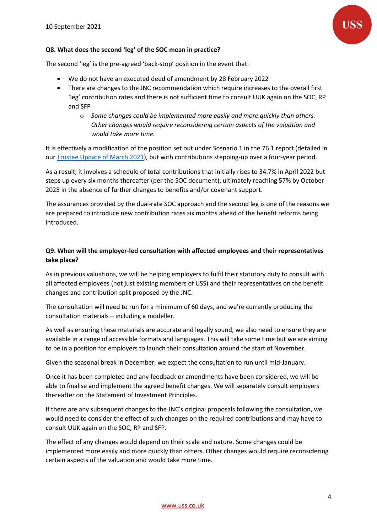

#### **Q8. What does the second 'leg' of the SOC mean in practice?**

The second 'leg' is the pre-agreed 'back-stop' position in the event that:

- We do not have an executed deed of amendment by 28 February 2022
- There are changes to the JNC recommendation which require increases to the overall first 'leg' contribution rates and there is not sufficient time to consult UUK again on the SOC, RP and SFP
	- o *Some changes could be implemented more easily and more quickly than others. Other changes would require reconsidering certain aspects of the valuation and would take more time.*

It is effectively a modification of the position set out under Scenario 1 in the 76.1 report (detailed in our [Trustee Update of March 2021\)](https://www.uss.co.uk/-/media/project/ussmainsite/files/about-us/valuations_yearly/2020-valuation/uss-trustee-update-and-appendices.pdf?rev=1cc9648005c7498da90aedb8ce32a3b6&hash=AD1494ECA4BF65B351F06DC4BFC131EA), but with contributions stepping-up over a four-year period.

As a result, it involves a schedule of total contributions that initially rises to 34.7% in April 2022 but steps up every six months thereafter (per the SOC document), ultimately reaching 57% by October 2025 in the absence of further changes to benefits and/or covenant support.

The assurances provided by the dual-rate SOC approach and the second leg is one of the reasons we are prepared to introduce new contribution rates six months ahead of the benefit reforms being introduced.

### **Q9. When will the employer-led consultation with affected employees and their representatives take place?**

As in previous valuations, we will be helping employers to fulfil their statutory duty to consult with all affected employees (not just existing members of USS) and their representatives on the benefit changes and contribution split proposed by the JNC.

The consultation will need to run for a minimum of 60 days, and we're currently producing the consultation materials – including a modeller.

As well as ensuring these materials are accurate and legally sound, we also need to ensure they are available in a range of accessible formats and languages. This will take some time but we are aiming to be in a position for employers to launch their consultation around the start of November.

Given the seasonal break in December, we expect the consultation to run until mid-January.

Once it has been completed and any feedback or amendments have been considered, we will be able to finalise and implement the agreed benefit changes. We will separately consult employers thereafter on the Statement of Investment Principles.

If there are any subsequent changes to the JNC's original proposals following the consultation, we would need to consider the effect of such changes on the required contributions and may have to consult UUK again on the SOC, RP and SFP.

The effect of any changes would depend on their scale and nature. Some changes could be implemented more easily and more quickly than others. Other changes would require reconsidering certain aspects of the valuation and would take more time.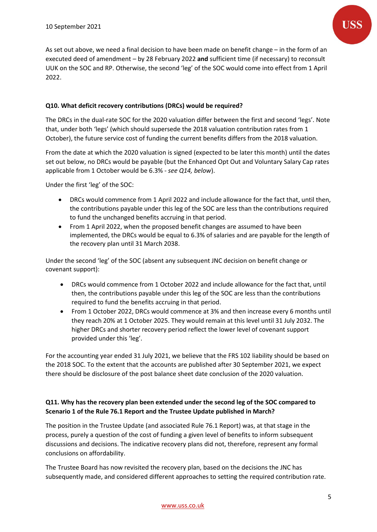

As set out above, we need a final decision to have been made on benefit change – in the form of an executed deed of amendment – by 28 February 2022 **and** sufficient time (if necessary) to reconsult UUK on the SOC and RP. Otherwise, the second 'leg' of the SOC would come into effect from 1 April 2022.

#### **Q10. What deficit recovery contributions (DRCs) would be required?**

The DRCs in the dual-rate SOC for the 2020 valuation differ between the first and second 'legs'. Note that, under both 'legs' (which should supersede the 2018 valuation contribution rates from 1 October), the future service cost of funding the current benefits differs from the 2018 valuation.

From the date at which the 2020 valuation is signed (expected to be later this month) until the dates set out below, no DRCs would be payable (but the Enhanced Opt Out and Voluntary Salary Cap rates applicable from 1 October would be 6.3% - *see Q14, below*).

Under the first 'leg' of the SOC:

- DRCs would commence from 1 April 2022 and include allowance for the fact that, until then, the contributions payable under this leg of the SOC are less than the contributions required to fund the unchanged benefits accruing in that period.
- From 1 April 2022, when the proposed benefit changes are assumed to have been implemented, the DRCs would be equal to 6.3% of salaries and are payable for the length of the recovery plan until 31 March 2038.

Under the second 'leg' of the SOC (absent any subsequent JNC decision on benefit change or covenant support):

- DRCs would commence from 1 October 2022 and include allowance for the fact that, until then, the contributions payable under this leg of the SOC are less than the contributions required to fund the benefits accruing in that period.
- From 1 October 2022, DRCs would commence at 3% and then increase every 6 months until they reach 20% at 1 October 2025. They would remain at this level until 31 July 2032. The higher DRCs and shorter recovery period reflect the lower level of covenant support provided under this 'leg'.

For the accounting year ended 31 July 2021, we believe that the FRS 102 liability should be based on the 2018 SOC. To the extent that the accounts are published after 30 September 2021, we expect there should be disclosure of the post balance sheet date conclusion of the 2020 valuation.

### **Q11. Why has the recovery plan been extended under the second leg of the SOC compared to Scenario 1 of the Rule 76.1 Report and the Trustee Update published in March?**

The position in the Trustee Update (and associated Rule 76.1 Report) was, at that stage in the process, purely a question of the cost of funding a given level of benefits to inform subsequent discussions and decisions. The indicative recovery plans did not, therefore, represent any formal conclusions on affordability.

The Trustee Board has now revisited the recovery plan, based on the decisions the JNC has subsequently made, and considered different approaches to setting the required contribution rate.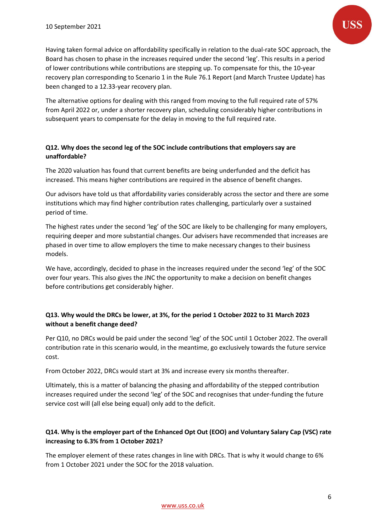The alternative options for dealing with this ranged from moving to the full required rate of 57% from April 2022 or, under a shorter recovery plan, scheduling considerably higher contributions in subsequent years to compensate for the delay in moving to the full required rate.

#### **Q12. Why does the second leg of the SOC include contributions that employers say are unaffordable?**

The 2020 valuation has found that current benefits are being underfunded and the deficit has increased. This means higher contributions are required in the absence of benefit changes.

Our advisors have told us that affordability varies considerably across the sector and there are some institutions which may find higher contribution rates challenging, particularly over a sustained period of time.

The highest rates under the second 'leg' of the SOC are likely to be challenging for many employers, requiring deeper and more substantial changes. Our advisers have recommended that increases are phased in over time to allow employers the time to make necessary changes to their business models.

We have, accordingly, decided to phase in the increases required under the second 'leg' of the SOC over four years. This also gives the JNC the opportunity to make a decision on benefit changes before contributions get considerably higher.

## **Q13. Why would the DRCs be lower, at 3%, for the period 1 October 2022 to 31 March 2023 without a benefit change deed?**

Per Q10, no DRCs would be paid under the second 'leg' of the SOC until 1 October 2022. The overall contribution rate in this scenario would, in the meantime, go exclusively towards the future service cost.

From October 2022, DRCs would start at 3% and increase every six months thereafter.

Ultimately, this is a matter of balancing the phasing and affordability of the stepped contribution increases required under the second 'leg' of the SOC and recognises that under-funding the future service cost will (all else being equal) only add to the deficit.

### **Q14. Why is the employer part of the Enhanced Opt Out (EOO) and Voluntary Salary Cap (VSC) rate increasing to 6.3% from 1 October 2021?**

The employer element of these rates changes in line with DRCs. That is why it would change to 6% from 1 October 2021 under the SOC for the 2018 valuation.